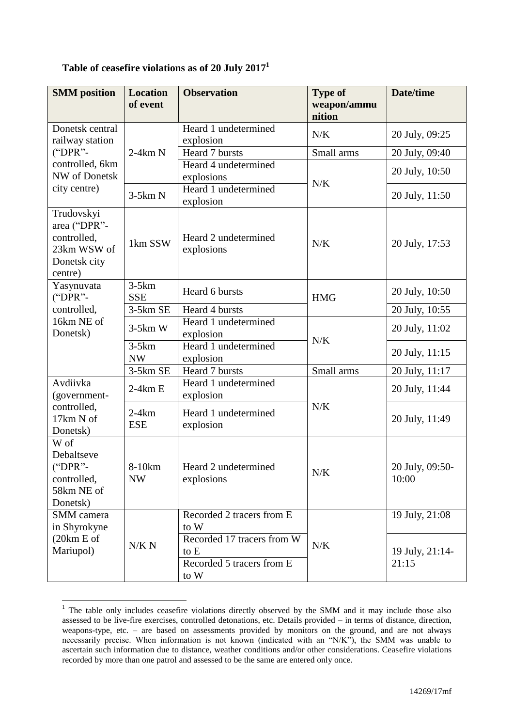| <b>SMM</b> position                                                                 | <b>Location</b><br>of event | <b>Observation</b>                                                      | <b>Type of</b><br>weapon/ammu<br>nition | <b>Date/time</b>         |
|-------------------------------------------------------------------------------------|-----------------------------|-------------------------------------------------------------------------|-----------------------------------------|--------------------------|
| Donetsk central<br>railway station                                                  | $2-4km N$                   | Heard 1 undetermined<br>explosion                                       | N/K                                     | 20 July, 09:25           |
| $("DPR" -$                                                                          |                             | Heard 7 bursts                                                          | Small arms                              | 20 July, 09:40           |
| controlled, 6km<br>NW of Donetsk                                                    |                             | Heard 4 undetermined<br>explosions                                      | N/K                                     | 20 July, 10:50           |
| city centre)                                                                        | $3-5km N$                   | Heard 1 undetermined<br>explosion                                       |                                         | 20 July, 11:50           |
| Trudovskyi<br>area ("DPR"-<br>controlled,<br>23km WSW of<br>Donetsk city<br>centre) | 1km SSW                     | Heard 2 undetermined<br>explosions                                      | N/K                                     | 20 July, 17:53           |
| Yasynuvata<br>$("DPR"$ -                                                            | $3-5km$<br><b>SSE</b>       | Heard 6 bursts                                                          | <b>HMG</b>                              | 20 July, 10:50           |
| controlled,                                                                         | 3-5km SE                    | Heard 4 bursts                                                          |                                         | 20 July, 10:55           |
| 16km NE of<br>Donetsk)                                                              | $3-5km$ W                   | Heard 1 undetermined<br>explosion                                       | N/K                                     | 20 July, 11:02           |
|                                                                                     | $3-5km$<br><b>NW</b>        | Heard 1 undetermined<br>explosion                                       |                                         | 20 July, 11:15           |
|                                                                                     | 3-5km SE                    | Heard 7 bursts                                                          | Small arms                              | 20 July, 11:17           |
| Avdiivka<br>(government-                                                            | $2-4km E$                   | Heard 1 undetermined<br>explosion                                       |                                         | 20 July, 11:44           |
| controlled,<br>17km N of<br>Donetsk)                                                | $2-4km$<br><b>ESE</b>       | Heard 1 undetermined<br>explosion                                       | N/K                                     | 20 July, 11:49           |
| W of<br>Debaltseve<br>$("DPR"$ -<br>controlled,<br>58km NE of<br>Donetsk)           | 8-10km<br><b>NW</b>         | Heard 2 undetermined<br>explosions                                      | N/K                                     | 20 July, 09:50-<br>10:00 |
| SMM camera<br>in Shyrokyne<br>(20km E of<br>Mariupol)                               | N/K N                       | Recorded 2 tracers from E<br>to W                                       | N/K                                     | 19 July, 21:08           |
|                                                                                     |                             | Recorded 17 tracers from W<br>to E<br>Recorded 5 tracers from E<br>to W |                                         | 19 July, 21:14-<br>21:15 |

## **Table of ceasefire violations as of 20 July 2017<sup>1</sup>**

1

 $1$  The table only includes ceasefire violations directly observed by the SMM and it may include those also assessed to be live-fire exercises, controlled detonations, etc. Details provided – in terms of distance, direction, weapons-type, etc. – are based on assessments provided by monitors on the ground, and are not always necessarily precise. When information is not known (indicated with an "N/K"), the SMM was unable to ascertain such information due to distance, weather conditions and/or other considerations. Ceasefire violations recorded by more than one patrol and assessed to be the same are entered only once.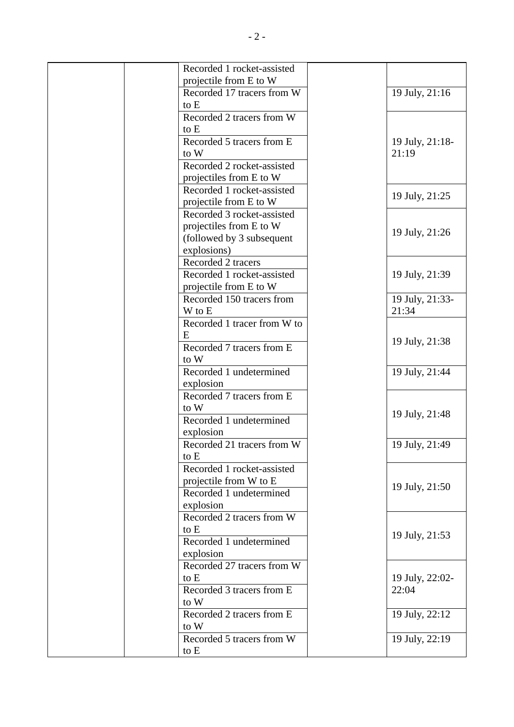| Recorded 1 rocket-assisted         |                 |
|------------------------------------|-----------------|
| projectile from E to W             |                 |
| Recorded 17 tracers from W         | 19 July, 21:16  |
| to E                               |                 |
| Recorded 2 tracers from W          |                 |
| to E                               |                 |
| Recorded 5 tracers from E          | 19 July, 21:18- |
| to W                               | 21:19           |
| Recorded 2 rocket-assisted         |                 |
| projectiles from E to W            |                 |
| Recorded 1 rocket-assisted         |                 |
| projectile from E to W             | 19 July, 21:25  |
| Recorded 3 rocket-assisted         |                 |
| projectiles from E to W            |                 |
| (followed by 3 subsequent          | 19 July, 21:26  |
| explosions)                        |                 |
| Recorded 2 tracers                 |                 |
| Recorded 1 rocket-assisted         | 19 July, 21:39  |
| projectile from E to W             |                 |
| Recorded 150 tracers from          | 19 July, 21:33- |
| W to E                             | 21:34           |
| Recorded 1 tracer from W to        |                 |
| E                                  |                 |
| Recorded 7 tracers from E          | 19 July, 21:38  |
| to W                               |                 |
| Recorded 1 undetermined            | 19 July, 21:44  |
| explosion                          |                 |
| Recorded 7 tracers from E          |                 |
| to W                               |                 |
| Recorded 1 undetermined            | 19 July, 21:48  |
|                                    |                 |
| explosion                          |                 |
| Recorded 21 tracers from W         | 19 July, 21:49  |
| to E<br>Recorded 1 rocket-assisted |                 |
|                                    |                 |
| projectile from W to E             | 19 July, 21:50  |
| Recorded 1 undetermined            |                 |
| explosion                          |                 |
| Recorded 2 tracers from W          |                 |
| to E                               | 19 July, 21:53  |
| Recorded 1 undetermined            |                 |
| explosion                          |                 |
| Recorded 27 tracers from W         |                 |
| to E                               | 19 July, 22:02- |
| Recorded 3 tracers from E          | 22:04           |
| to W                               |                 |
| Recorded 2 tracers from E          | 19 July, 22:12  |
| to W                               |                 |
| Recorded 5 tracers from W          | 19 July, 22:19  |
| to E                               |                 |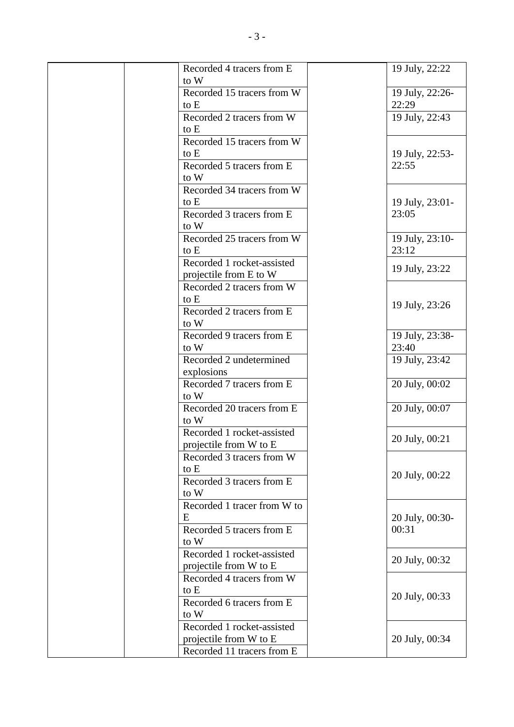| Recorded 4 tracers from E<br>to W | 19 July, 22:22           |
|-----------------------------------|--------------------------|
| Recorded 15 tracers from W        |                          |
|                                   | 19 July, 22:26-<br>22:29 |
| to E                              |                          |
| Recorded 2 tracers from W<br>to E | 19 July, 22:43           |
| Recorded 15 tracers from W        |                          |
| to E                              | 19 July, 22:53-          |
| Recorded 5 tracers from E         | 22:55                    |
| to W                              |                          |
| Recorded 34 tracers from W        |                          |
| to E                              | 19 July, 23:01-          |
| Recorded 3 tracers from E         | 23:05                    |
| to W                              |                          |
| Recorded 25 tracers from W        | 19 July, 23:10-          |
| to E                              | 23:12                    |
| Recorded 1 rocket-assisted        |                          |
| projectile from E to W            | 19 July, 23:22           |
| Recorded 2 tracers from W         |                          |
| to E                              |                          |
| Recorded 2 tracers from E         | 19 July, 23:26           |
| to W                              |                          |
| Recorded 9 tracers from E         | 19 July, 23:38-          |
| to W                              | 23:40                    |
| Recorded 2 undetermined           | 19 July, 23:42           |
| explosions                        |                          |
| Recorded 7 tracers from E         | 20 July, 00:02           |
| to W                              |                          |
| Recorded 20 tracers from E        | 20 July, 00:07           |
| to W                              |                          |
| Recorded 1 rocket-assisted        |                          |
| projectile from W to E            | 20 July, 00:21           |
| Recorded 3 tracers from W         |                          |
| to E                              |                          |
| Recorded 3 tracers from E         | 20 July, 00:22           |
| to W                              |                          |
| Recorded 1 tracer from W to       |                          |
| E                                 | 20 July, 00:30-          |
| Recorded 5 tracers from E         | 00:31                    |
| to W                              |                          |
| Recorded 1 rocket-assisted        |                          |
| projectile from W to E            | 20 July, 00:32           |
| Recorded 4 tracers from W         |                          |
| to E                              |                          |
| Recorded 6 tracers from E         | 20 July, 00:33           |
| to W                              |                          |
| Recorded 1 rocket-assisted        |                          |
| projectile from W to E            | 20 July, 00:34           |
| Recorded 11 tracers from E        |                          |
|                                   |                          |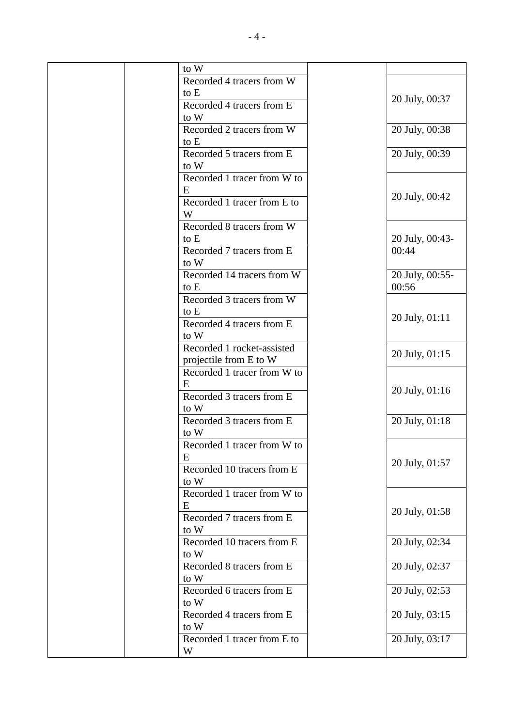| to W                        |                 |
|-----------------------------|-----------------|
| Recorded 4 tracers from W   |                 |
| to E                        |                 |
| Recorded 4 tracers from E   | 20 July, 00:37  |
| to W                        |                 |
| Recorded 2 tracers from W   | 20 July, 00:38  |
| to E                        |                 |
| Recorded 5 tracers from E   | 20 July, 00:39  |
| to W                        |                 |
| Recorded 1 tracer from W to |                 |
| E                           |                 |
| Recorded 1 tracer from E to | 20 July, 00:42  |
| W                           |                 |
| Recorded 8 tracers from W   |                 |
|                             |                 |
| to E                        | 20 July, 00:43- |
| Recorded 7 tracers from E   | 00:44           |
| to W                        |                 |
| Recorded 14 tracers from W  | 20 July, 00:55- |
| to E                        | 00:56           |
| Recorded 3 tracers from W   |                 |
| to E                        | 20 July, 01:11  |
| Recorded 4 tracers from E   |                 |
| to W                        |                 |
| Recorded 1 rocket-assisted  | 20 July, 01:15  |
| projectile from E to W      |                 |
| Recorded 1 tracer from W to |                 |
| E                           | 20 July, 01:16  |
| Recorded 3 tracers from E   |                 |
| to W                        |                 |
| Recorded 3 tracers from E   | 20 July, 01:18  |
| to W                        |                 |
| Recorded 1 tracer from W to |                 |
| Ε                           |                 |
| Recorded 10 tracers from E  | 20 July, 01:57  |
| to W                        |                 |
| Recorded 1 tracer from W to |                 |
| E                           |                 |
| Recorded 7 tracers from E   | 20 July, 01:58  |
| to W                        |                 |
| Recorded 10 tracers from E  | 20 July, 02:34  |
| to W                        |                 |
| Recorded 8 tracers from E   | 20 July, 02:37  |
| to W                        |                 |
| Recorded 6 tracers from E   | 20 July, 02:53  |
| to W                        |                 |
| Recorded 4 tracers from E   | 20 July, 03:15  |
| to W                        |                 |
| Recorded 1 tracer from E to | 20 July, 03:17  |
| W                           |                 |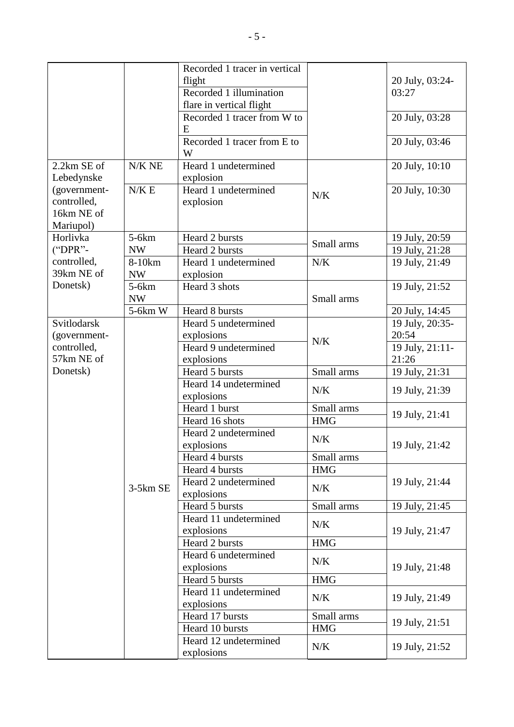|              |                       | Recorded 1 tracer in vertical    |                                     |                 |
|--------------|-----------------------|----------------------------------|-------------------------------------|-----------------|
|              |                       | flight                           |                                     | 20 July, 03:24- |
|              |                       | Recorded 1 illumination          |                                     | 03:27           |
|              |                       | flare in vertical flight         |                                     |                 |
|              |                       | Recorded 1 tracer from W to      |                                     | 20 July, 03:28  |
|              |                       | E                                |                                     |                 |
|              |                       | Recorded 1 tracer from E to<br>W |                                     | 20 July, 03:46  |
| 2.2km SE of  | $N/K$ NE              | Heard 1 undetermined             |                                     | 20 July, 10:10  |
| Lebedynske   |                       | explosion                        |                                     |                 |
| (government- | N/K E                 | Heard 1 undetermined             |                                     | 20 July, 10:30  |
| controlled,  |                       | explosion                        | N/K                                 |                 |
| 16km NE of   |                       |                                  |                                     |                 |
| Mariupol)    |                       |                                  |                                     |                 |
| Horlivka     | $5-6km$               | Heard 2 bursts                   |                                     | 19 July, 20:59  |
| ("DPR"-      | <b>NW</b>             | Heard 2 bursts                   | Small arms                          | 19 July, 21:28  |
| controlled,  | 8-10km                | Heard 1 undetermined             | N/K                                 | 19 July, 21:49  |
| 39km NE of   | <b>NW</b>             | explosion                        |                                     |                 |
| Donetsk)     | $5-6km$               | Heard 3 shots                    |                                     | 19 July, 21:52  |
|              | <b>NW</b>             |                                  | Small arms                          |                 |
|              | 5-6km W               | Heard 8 bursts                   |                                     | 20 July, 14:45  |
| Svitlodarsk  |                       | Heard 5 undetermined             |                                     | 19 July, 20:35- |
| (government- |                       | explosions                       |                                     | 20:54           |
| controlled,  |                       | Heard 9 undetermined             | N/K                                 | 19 July, 21:11- |
| 57km NE of   |                       | explosions                       |                                     | 21:26           |
| Donetsk)     |                       | Heard 5 bursts                   | Small arms                          | 19 July, 21:31  |
|              |                       | Heard 14 undetermined            |                                     |                 |
|              |                       | explosions                       | N/K                                 | 19 July, 21:39  |
|              |                       | Heard 1 burst                    | Small arms                          |                 |
|              |                       | Heard 16 shots                   | <b>HMG</b>                          | 19 July, 21:41  |
|              |                       | Heard 2 undetermined             |                                     |                 |
|              |                       | explosions                       | N/K                                 | 19 July, 21:42  |
|              |                       | Heard 4 bursts                   | Small arms                          |                 |
|              |                       | Heard 4 bursts                   | <b>HMG</b>                          |                 |
|              |                       | Heard 2 undetermined             | N/K                                 | 19 July, 21:44  |
|              | $3-5km$ SE            | explosions                       |                                     |                 |
|              |                       | Heard 5 bursts                   | Small arms                          | 19 July, 21:45  |
|              |                       | Heard 11 undetermined            | N/K<br>19 July, 21:47<br><b>HMG</b> |                 |
|              |                       | explosions                       |                                     |                 |
|              |                       | Heard 2 bursts                   |                                     |                 |
|              |                       | Heard 6 undetermined             |                                     |                 |
|              |                       | explosions                       | N/K                                 |                 |
|              |                       | Heard 5 bursts                   | <b>HMG</b>                          | 19 July, 21:48  |
|              | Heard 11 undetermined |                                  |                                     |                 |
|              |                       | explosions                       | N/K                                 | 19 July, 21:49  |
|              |                       | Heard 17 bursts                  | Small arms                          |                 |
|              |                       | Heard 10 bursts                  | <b>HMG</b>                          | 19 July, 21:51  |
|              |                       | Heard 12 undetermined            |                                     |                 |
|              |                       |                                  | N/K                                 | 19 July, 21:52  |
|              |                       | explosions                       |                                     |                 |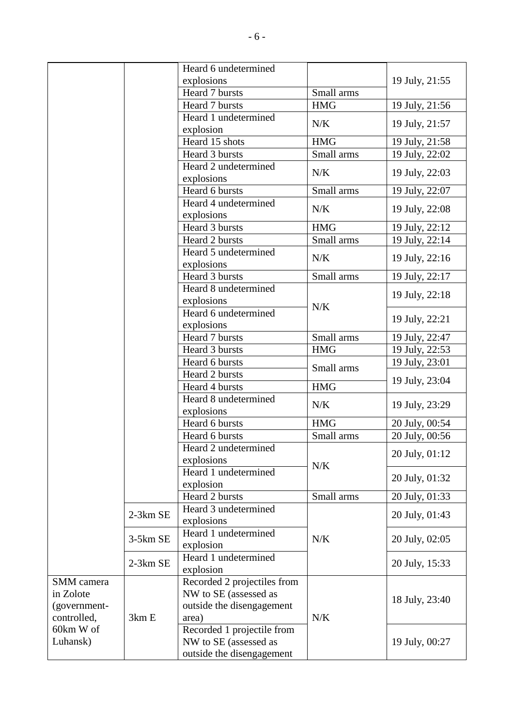|                      |                       | Heard 6 undetermined               |                |                |
|----------------------|-----------------------|------------------------------------|----------------|----------------|
|                      |                       | explosions                         |                | 19 July, 21:55 |
|                      |                       | Heard 7 bursts                     | Small arms     |                |
|                      |                       | Heard 7 bursts                     | <b>HMG</b>     | 19 July, 21:56 |
|                      |                       | Heard 1 undetermined               |                |                |
|                      |                       | explosion                          | N/K            | 19 July, 21:57 |
|                      |                       | Heard 15 shots                     | <b>HMG</b>     | 19 July, 21:58 |
|                      |                       | Heard 3 bursts                     | Small arms     | 19 July, 22:02 |
|                      |                       | Heard 2 undetermined<br>explosions | N/K            | 19 July, 22:03 |
|                      |                       | Heard 6 bursts                     | Small arms     | 19 July, 22:07 |
|                      |                       | Heard 4 undetermined               |                |                |
|                      |                       | explosions                         | N/K            | 19 July, 22:08 |
|                      |                       | Heard 3 bursts                     | <b>HMG</b>     | 19 July, 22:12 |
|                      |                       | Heard 2 bursts                     | Small arms     | 19 July, 22:14 |
|                      |                       | Heard 5 undetermined               |                |                |
|                      |                       | explosions                         | N/K            | 19 July, 22:16 |
|                      |                       | Heard 3 bursts                     | Small arms     | 19 July, 22:17 |
|                      |                       | Heard 8 undetermined               |                |                |
|                      |                       | explosions                         |                | 19 July, 22:18 |
|                      |                       | Heard 6 undetermined               | N/K            |                |
|                      |                       | explosions                         |                | 19 July, 22:21 |
|                      |                       | Heard 7 bursts                     | Small arms     | 19 July, 22:47 |
|                      |                       | Heard 3 bursts                     | <b>HMG</b>     | 19 July, 22:53 |
|                      |                       | Heard 6 bursts                     | Small arms     | 19 July, 23:01 |
|                      |                       | Heard 2 bursts                     |                | 19 July, 23:04 |
|                      |                       | Heard 4 bursts                     | <b>HMG</b>     |                |
|                      |                       | Heard 8 undetermined<br>explosions | N/K            | 19 July, 23:29 |
|                      |                       | Heard 6 bursts                     | <b>HMG</b>     | 20 July, 00:54 |
|                      |                       | Heard 6 bursts                     | Small arms     | 20 July, 00:56 |
|                      |                       | Heard 2 undetermined               |                |                |
|                      |                       | explosions                         |                | 20 July, 01:12 |
|                      |                       | Heard 1 undetermined               | N/K            |                |
|                      |                       | explosion                          |                | 20 July, 01:32 |
|                      |                       | Heard 2 bursts                     | Small arms     | 20 July, 01:33 |
|                      |                       | Heard 3 undetermined               |                |                |
|                      | 2-3km SE              | explosions                         |                | 20 July, 01:43 |
|                      |                       | Heard 1 undetermined               | N/K            |                |
| 3-5km SE<br>2-3km SE | explosion             |                                    | 20 July, 02:05 |                |
|                      | Heard 1 undetermined  |                                    | 20 July, 15:33 |                |
|                      |                       | explosion                          |                |                |
| SMM camera           |                       | Recorded 2 projectiles from        |                |                |
| in Zolote            |                       | NW to SE (assessed as              |                | 18 July, 23:40 |
| (government-         |                       | outside the disengagement          |                |                |
| controlled,          | 3km E                 | area)                              | N/K            |                |
|                      | 60km W of<br>Luhansk) | Recorded 1 projectile from         |                |                |
|                      |                       | NW to SE (assessed as              |                | 19 July, 00:27 |
|                      |                       | outside the disengagement          |                |                |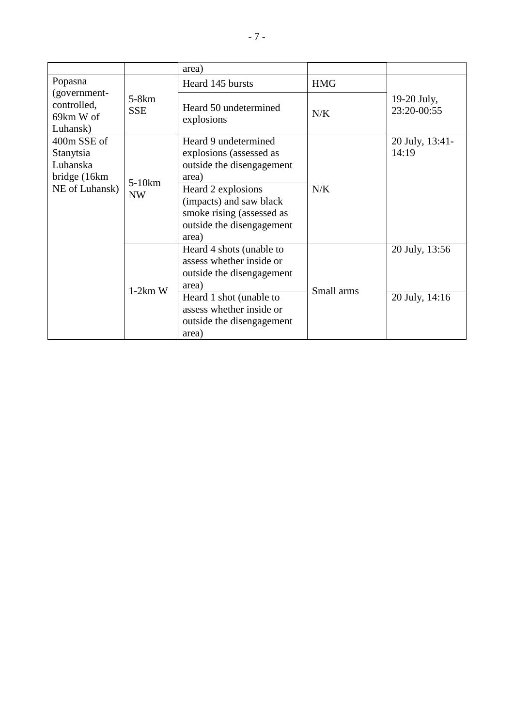|                                                      |                       | area)                                                                                                                                                                                   |            |                                  |
|------------------------------------------------------|-----------------------|-----------------------------------------------------------------------------------------------------------------------------------------------------------------------------------------|------------|----------------------------------|
| Popasna                                              |                       | Heard 145 bursts                                                                                                                                                                        | <b>HMG</b> |                                  |
| (government-<br>controlled,<br>69km W of<br>Luhansk) | $5-8km$<br><b>SSE</b> | Heard 50 undetermined<br>explosions                                                                                                                                                     | N/K        | 19-20 July,<br>23:20-00:55       |
| 400m SSE of<br>Stanytsia<br>Luhanska<br>bridge (16km | $5-10km$<br><b>NW</b> | Heard 9 undetermined<br>explosions (assessed as<br>outside the disengagement<br>area)                                                                                                   |            | 20 July, 13:41-<br>14:19         |
| NE of Luhansk)                                       |                       | Heard 2 explosions<br>(impacts) and saw black<br>smoke rising (assessed as<br>outside the disengagement<br>area)                                                                        | N/K        |                                  |
|                                                      | $1-2km$ W             | Heard 4 shots (unable to<br>assess whether inside or<br>outside the disengagement<br>area)<br>Heard 1 shot (unable to<br>assess whether inside or<br>outside the disengagement<br>area) | Small arms | 20 July, 13:56<br>20 July, 14:16 |